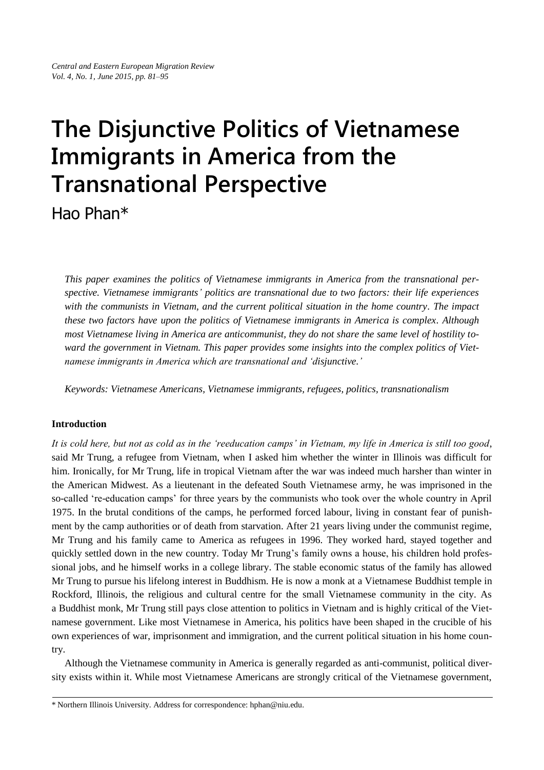# **The Disjunctive Politics of Vietnamese Immigrants in America from the Transnational Perspective**

Hao Phan\*

*This paper examines the politics of Vietnamese immigrants in America from the transnational perspective. Vietnamese immigrants' politics are transnational due to two factors: their life experiences with the communists in Vietnam, and the current political situation in the home country. The impact these two factors have upon the politics of Vietnamese immigrants in America is complex. Although most Vietnamese living in America are anticommunist, they do not share the same level of hostility toward the government in Vietnam. This paper provides some insights into the complex politics of Vietnamese immigrants in America which are transnational and 'disjunctive.'* 

*Keywords: Vietnamese Americans, Vietnamese immigrants, refugees, politics, transnationalism*

## **Introduction**

It is cold here, but not as cold as in the 'reeducation camps' in Vietnam, my life in America is still too good, said Mr Trung, a refugee from Vietnam, when I asked him whether the winter in Illinois was difficult for him. Ironically, for Mr Trung, life in tropical Vietnam after the war was indeed much harsher than winter in the American Midwest. As a lieutenant in the defeated South Vietnamese army, he was imprisoned in the so-called 're-education camps' for three years by the communists who took over the whole country in April 1975. In the brutal conditions of the camps, he performed forced labour, living in constant fear of punishment by the camp authorities or of death from starvation. After 21 years living under the communist regime, Mr Trung and his family came to America as refugees in 1996. They worked hard, stayed together and quickly settled down in the new country. Today Mr Trung's family owns a house, his children hold professional jobs, and he himself works in a college library. The stable economic status of the family has allowed Mr Trung to pursue his lifelong interest in Buddhism. He is now a monk at a Vietnamese Buddhist temple in Rockford, Illinois, the religious and cultural centre for the small Vietnamese community in the city. As a Buddhist monk, Mr Trung still pays close attention to politics in Vietnam and is highly critical of the Vietnamese government. Like most Vietnamese in America, his politics have been shaped in the crucible of his own experiences of war, imprisonment and immigration, and the current political situation in his home country.

Although the Vietnamese community in America is generally regarded as anti-communist, political diversity exists within it. While most Vietnamese Americans are strongly critical of the Vietnamese government,

<sup>\*</sup> Northern Illinois University. Address for correspondence: hphan@niu.edu.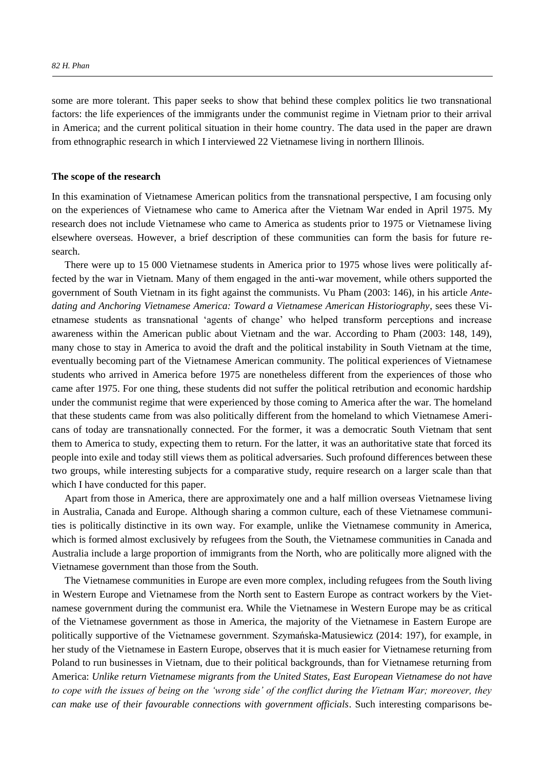some are more tolerant. This paper seeks to show that behind these complex politics lie two transnational factors: the life experiences of the immigrants under the communist regime in Vietnam prior to their arrival in America; and the current political situation in their home country. The data used in the paper are drawn from ethnographic research in which I interviewed 22 Vietnamese living in northern Illinois.

#### **The scope of the research**

In this examination of Vietnamese American politics from the transnational perspective, I am focusing only on the experiences of Vietnamese who came to America after the Vietnam War ended in April 1975. My research does not include Vietnamese who came to America as students prior to 1975 or Vietnamese living elsewhere overseas. However, a brief description of these communities can form the basis for future research.

There were up to 15 000 Vietnamese students in America prior to 1975 whose lives were politically affected by the war in Vietnam. Many of them engaged in the anti-war movement, while others supported the government of South Vietnam in its fight against the communists. Vu Pham (2003: 146), in his article *Antedating and Anchoring Vietnamese America: Toward a Vietnamese American Historiography*, sees these Vietnamese students as transnational 'agents of change' who helped transform perceptions and increase awareness within the American public about Vietnam and the war. According to Pham (2003: 148, 149), many chose to stay in America to avoid the draft and the political instability in South Vietnam at the time, eventually becoming part of the Vietnamese American community. The political experiences of Vietnamese students who arrived in America before 1975 are nonetheless different from the experiences of those who came after 1975. For one thing, these students did not suffer the political retribution and economic hardship under the communist regime that were experienced by those coming to America after the war. The homeland that these students came from was also politically different from the homeland to which Vietnamese Americans of today are transnationally connected. For the former, it was a democratic South Vietnam that sent them to America to study, expecting them to return. For the latter, it was an authoritative state that forced its people into exile and today still views them as political adversaries. Such profound differences between these two groups, while interesting subjects for a comparative study, require research on a larger scale than that which I have conducted for this paper.

Apart from those in America, there are approximately one and a half million overseas Vietnamese living in Australia, Canada and Europe. Although sharing a common culture, each of these Vietnamese communities is politically distinctive in its own way. For example, unlike the Vietnamese community in America, which is formed almost exclusively by refugees from the South, the Vietnamese communities in Canada and Australia include a large proportion of immigrants from the North, who are politically more aligned with the Vietnamese government than those from the South.

The Vietnamese communities in Europe are even more complex, including refugees from the South living in Western Europe and Vietnamese from the North sent to Eastern Europe as contract workers by the Vietnamese government during the communist era. While the Vietnamese in Western Europe may be as critical of the Vietnamese government as those in America, the majority of the Vietnamese in Eastern Europe are politically supportive of the Vietnamese government. Szymańska-Matusiewicz (2014: 197), for example, in her study of the Vietnamese in Eastern Europe, observes that it is much easier for Vietnamese returning from Poland to run businesses in Vietnam, due to their political backgrounds, than for Vietnamese returning from America: *Unlike return Vietnamese migrants from the United States, East European Vietnamese do not have to cope with the issues of being on the 'wrong side' of the conflict during the Vietnam War; moreover, they can make use of their favourable connections with government officials*. Such interesting comparisons be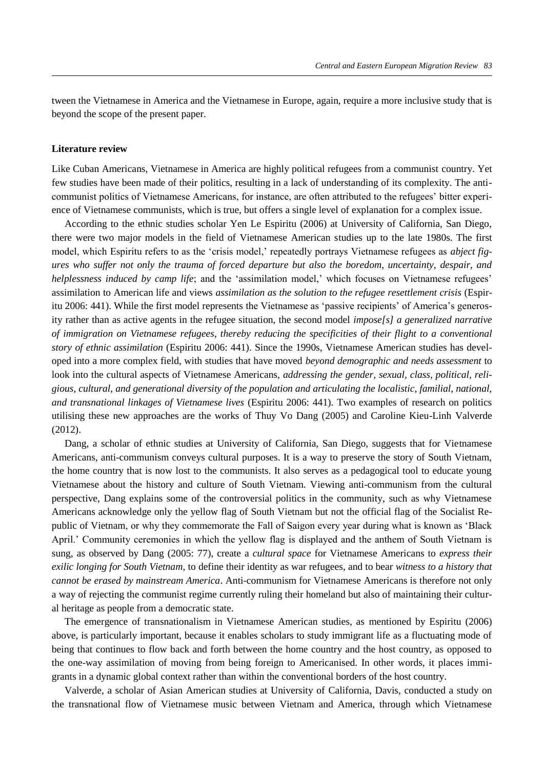tween the Vietnamese in America and the Vietnamese in Europe, again, require a more inclusive study that is beyond the scope of the present paper.

## **Literature review**

Like Cuban Americans, Vietnamese in America are highly political refugees from a communist country. Yet few studies have been made of their politics, resulting in a lack of understanding of its complexity. The anticommunist politics of Vietnamese Americans, for instance, are often attributed to the refugees' bitter experience of Vietnamese communists, which is true, but offers a single level of explanation for a complex issue.

According to the ethnic studies scholar Yen Le Espiritu (2006) at University of California, San Diego, there were two major models in the field of Vietnamese American studies up to the late 1980s. The first model, which Espiritu refers to as the 'crisis model,' repeatedly portrays Vietnamese refugees as *abject figures who suffer not only the trauma of forced departure but also the boredom, uncertainty, despair, and helplessness induced by camp life*; and the 'assimilation model,' which focuses on Vietnamese refugees' assimilation to American life and views *assimilation as the solution to the refugee resettlement crisis* (Espiritu 2006: 441). While the first model represents the Vietnamese as 'passive recipients' of America's generosity rather than as active agents in the refugee situation, the second model *impose[s] a generalized narrative of immigration on Vietnamese refugees, thereby reducing the specificities of their flight to a conventional story of ethnic assimilation* (Espiritu 2006: 441). Since the 1990s, Vietnamese American studies has developed into a more complex field, with studies that have moved *beyond demographic and needs assessment* to look into the cultural aspects of Vietnamese Americans, *addressing the gender, sexual, class, political, religious, cultural, and generational diversity of the population and articulating the localistic, familial, national, and transnational linkages of Vietnamese lives* (Espiritu 2006: 441). Two examples of research on politics utilising these new approaches are the works of Thuy Vo Dang (2005) and Caroline Kieu-Linh Valverde (2012).

Dang, a scholar of ethnic studies at University of California, San Diego, suggests that for Vietnamese Americans, anti-communism conveys cultural purposes. It is a way to preserve the story of South Vietnam, the home country that is now lost to the communists. It also serves as a pedagogical tool to educate young Vietnamese about the history and culture of South Vietnam. Viewing anti-communism from the cultural perspective, Dang explains some of the controversial politics in the community, such as why Vietnamese Americans acknowledge only the yellow flag of South Vietnam but not the official flag of the Socialist Republic of Vietnam, or why they commemorate the Fall of Saigon every year during what is known as 'Black April.' Community ceremonies in which the yellow flag is displayed and the anthem of South Vietnam is sung, as observed by Dang (2005: 77), create a *cultural space* for Vietnamese Americans to *express their exilic longing for South Vietnam*, to define their identity as war refugees, and to bear *witness to a history that cannot be erased by mainstream America*. Anti-communism for Vietnamese Americans is therefore not only a way of rejecting the communist regime currently ruling their homeland but also of maintaining their cultural heritage as people from a democratic state.

The emergence of transnationalism in Vietnamese American studies, as mentioned by Espiritu (2006) above, is particularly important, because it enables scholars to study immigrant life as a fluctuating mode of being that continues to flow back and forth between the home country and the host country, as opposed to the one-way assimilation of moving from being foreign to Americanised. In other words, it places immigrants in a dynamic global context rather than within the conventional borders of the host country.

Valverde, a scholar of Asian American studies at University of California, Davis, conducted a study on the transnational flow of Vietnamese music between Vietnam and America, through which Vietnamese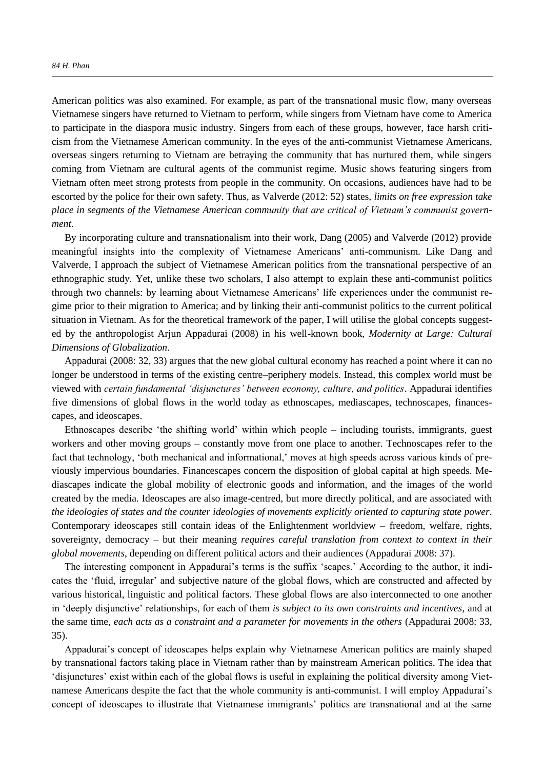American politics was also examined. For example, as part of the transnational music flow, many overseas Vietnamese singers have returned to Vietnam to perform, while singers from Vietnam have come to America to participate in the diaspora music industry. Singers from each of these groups, however, face harsh criticism from the Vietnamese American community. In the eyes of the anti-communist Vietnamese Americans, overseas singers returning to Vietnam are betraying the community that has nurtured them, while singers coming from Vietnam are cultural agents of the communist regime. Music shows featuring singers from Vietnam often meet strong protests from people in the community. On occasions, audiences have had to be escorted by the police for their own safety. Thus, as Valverde (2012: 52) states, *limits on free expression take*  place in segments of the Vietnamese American community that are critical of Vietnam's communist govern*ment*.

By incorporating culture and transnationalism into their work, Dang (2005) and Valverde (2012) provide meaningful insights into the complexity of Vietnamese Americans' anti-communism. Like Dang and Valverde, I approach the subject of Vietnamese American politics from the transnational perspective of an ethnographic study. Yet, unlike these two scholars, I also attempt to explain these anti-communist politics through two channels: by learning about Vietnamese Americans' life experiences under the communist regime prior to their migration to America; and by linking their anti-communist politics to the current political situation in Vietnam. As for the theoretical framework of the paper, I will utilise the global concepts suggested by the anthropologist Arjun Appadurai (2008) in his well-known book, *Modernity at Large: Cultural Dimensions of Globalization*.

Appadurai (2008: 32, 33) argues that the new global cultural economy has reached a point where it can no longer be understood in terms of the existing centre–periphery models. Instead, this complex world must be viewed with *certain fundamental 'disjunctures' between economy, culture, and politics*. Appadurai identifies five dimensions of global flows in the world today as ethnoscapes, mediascapes, technoscapes, financescapes, and ideoscapes.

Ethnoscapes describe 'the shifting world' within which people – including tourists, immigrants, guest workers and other moving groups – constantly move from one place to another. Technoscapes refer to the fact that technology, 'both mechanical and informational,' moves at high speeds across various kinds of previously impervious boundaries. Financescapes concern the disposition of global capital at high speeds. Mediascapes indicate the global mobility of electronic goods and information, and the images of the world created by the media. Ideoscapes are also image-centred, but more directly political, and are associated with *the ideologies of states and the counter ideologies of movements explicitly oriented to capturing state power*. Contemporary ideoscapes still contain ideas of the Enlightenment worldview – freedom, welfare, rights, sovereignty, democracy – but their meaning *requires careful translation from context to context in their global movements*, depending on different political actors and their audiences (Appadurai 2008: 37).

 he interesting component in Appadurai's terms is the suffix 'scapes.' According to the author, it indicates the 'fluid, irregular' and subjective nature of the global flows, which are constructed and affected by various historical, linguistic and political factors. These global flows are also interconnected to one another in 'deeply disjunctive' relationships, for each of them *is subject to its own constraints and incentives*, and at the same time, *each acts as a constraint and a parameter for movements in the others* (Appadurai 2008: 33, 35).

Appadurai's concept of ideoscapes helps explain why Vietnamese American politics are mainly shaped by transnational factors taking place in Vietnam rather than by mainstream American politics. The idea that 'disjunctures' exist within each of the global flows is useful in explaining the political diversity among Vietnamese Americans despite the fact that the whole community is anti-communist. I will employ Appadurai's concept of ideoscapes to illustrate that Vietnamese immigrants' politics are transnational and at the same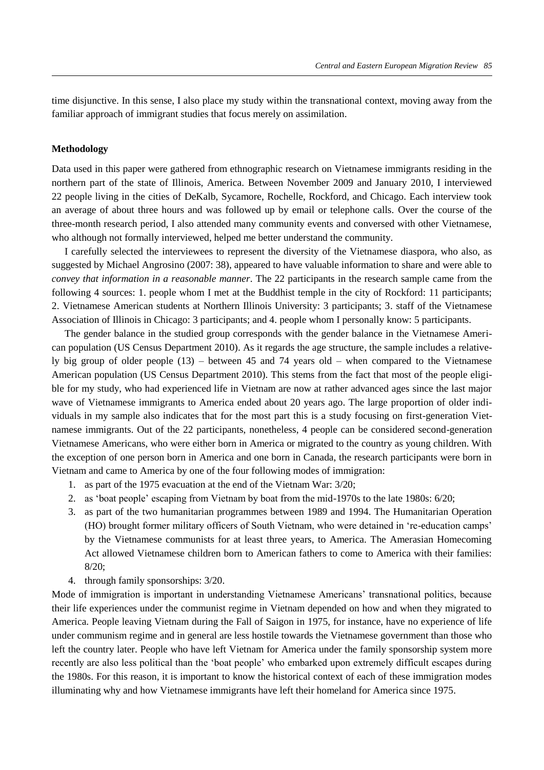time disjunctive. In this sense, I also place my study within the transnational context, moving away from the familiar approach of immigrant studies that focus merely on assimilation.

## **Methodology**

Data used in this paper were gathered from ethnographic research on Vietnamese immigrants residing in the northern part of the state of Illinois, America. Between November 2009 and January 2010, I interviewed 22 people living in the cities of DeKalb, Sycamore, Rochelle, Rockford, and Chicago. Each interview took an average of about three hours and was followed up by email or telephone calls. Over the course of the three-month research period, I also attended many community events and conversed with other Vietnamese, who although not formally interviewed, helped me better understand the community.

I carefully selected the interviewees to represent the diversity of the Vietnamese diaspora, who also, as suggested by Michael Angrosino (2007: 38), appeared to have valuable information to share and were able to *convey that information in a reasonable manner*. The 22 participants in the research sample came from the following 4 sources: 1. people whom I met at the Buddhist temple in the city of Rockford: 11 participants; 2. Vietnamese American students at Northern Illinois University: 3 participants; 3. staff of the Vietnamese Association of Illinois in Chicago: 3 participants; and 4. people whom I personally know: 5 participants.

The gender balance in the studied group corresponds with the gender balance in the Vietnamese American population (US Census Department 2010). As it regards the age structure, the sample includes a relatively big group of older people (13) – between 45 and 74 years old – when compared to the Vietnamese American population (US Census Department 2010). This stems from the fact that most of the people eligible for my study, who had experienced life in Vietnam are now at rather advanced ages since the last major wave of Vietnamese immigrants to America ended about 20 years ago. The large proportion of older individuals in my sample also indicates that for the most part this is a study focusing on first-generation Vietnamese immigrants. Out of the 22 participants, nonetheless, 4 people can be considered second-generation Vietnamese Americans, who were either born in America or migrated to the country as young children. With the exception of one person born in America and one born in Canada, the research participants were born in Vietnam and came to America by one of the four following modes of immigration:

- 1. as part of the 1975 evacuation at the end of the Vietnam War: 3/20;
- 2. as 'boat people' escaping from Vietnam by boat from the mid-1970s to the late 1980s: 6/20;
- 3. as part of the two humanitarian programmes between 1989 and 1994. The Humanitarian Operation (HO) brought former military officers of South Vietnam, who were detained in 're-education camps' by the Vietnamese communists for at least three years, to America. The Amerasian Homecoming Act allowed Vietnamese children born to American fathers to come to America with their families: 8/20;
- 4. through family sponsorships: 3/20.

Mode of immigration is important in understanding Vietnamese Americans' transnational politics, because their life experiences under the communist regime in Vietnam depended on how and when they migrated to America. People leaving Vietnam during the Fall of Saigon in 1975, for instance, have no experience of life under communism regime and in general are less hostile towards the Vietnamese government than those who left the country later. People who have left Vietnam for America under the family sponsorship system more recently are also less political than the 'boat people' who embarked upon extremely difficult escapes during the 1980s. For this reason, it is important to know the historical context of each of these immigration modes illuminating why and how Vietnamese immigrants have left their homeland for America since 1975.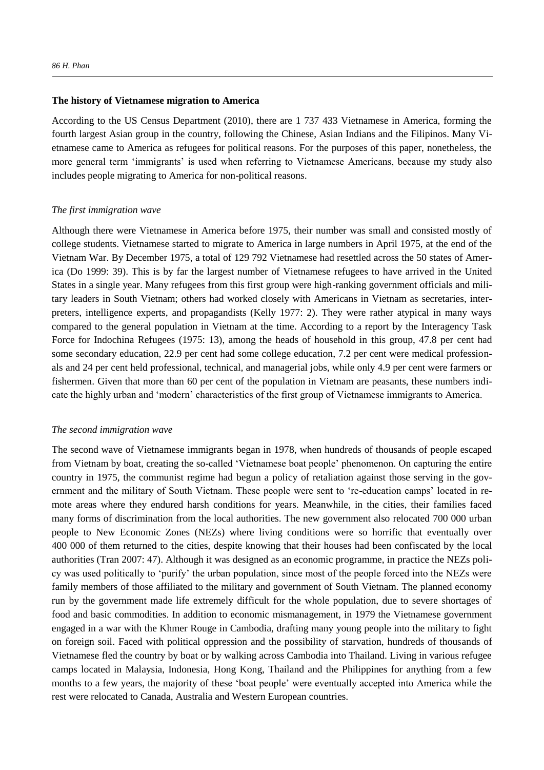#### **The history of Vietnamese migration to America**

According to the US Census Department (2010), there are 1 737 433 Vietnamese in America, forming the fourth largest Asian group in the country, following the Chinese, Asian Indians and the Filipinos. Many Vietnamese came to America as refugees for political reasons. For the purposes of this paper, nonetheless, the more general term 'immigrants' is used when referring to Vietnamese Americans, because my study also includes people migrating to America for non-political reasons.

#### *The first immigration wave*

Although there were Vietnamese in America before 1975, their number was small and consisted mostly of college students. Vietnamese started to migrate to America in large numbers in April 1975, at the end of the Vietnam War. By December 1975, a total of 129 792 Vietnamese had resettled across the 50 states of America (Do 1999: 39). This is by far the largest number of Vietnamese refugees to have arrived in the United States in a single year. Many refugees from this first group were high-ranking government officials and military leaders in South Vietnam; others had worked closely with Americans in Vietnam as secretaries, interpreters, intelligence experts, and propagandists (Kelly 1977: 2). They were rather atypical in many ways compared to the general population in Vietnam at the time. According to a report by the Interagency Task Force for Indochina Refugees (1975: 13), among the heads of household in this group, 47.8 per cent had some secondary education, 22.9 per cent had some college education, 7.2 per cent were medical professionals and 24 per cent held professional, technical, and managerial jobs, while only 4.9 per cent were farmers or fishermen. Given that more than 60 per cent of the population in Vietnam are peasants, these numbers indicate the highly urban and 'modern' characteristics of the first group of Vietnamese immigrants to America.

#### *The second immigration wave*

The second wave of Vietnamese immigrants began in 1978, when hundreds of thousands of people escaped from Vietnam by boat, creating the so-called 'Vietnamese boat people' phenomenon. On capturing the entire country in 1975, the communist regime had begun a policy of retaliation against those serving in the government and the military of South Vietnam. These people were sent to 're-education camps' located in remote areas where they endured harsh conditions for years. Meanwhile, in the cities, their families faced many forms of discrimination from the local authorities. The new government also relocated 700 000 urban people to New Economic Zones (NEZs) where living conditions were so horrific that eventually over 400 000 of them returned to the cities, despite knowing that their houses had been confiscated by the local authorities (Tran 2007: 47). Although it was designed as an economic programme, in practice the NEZs policy was used politically to 'purify' the urban population, since most of the people forced into the NEZs were family members of those affiliated to the military and government of South Vietnam. The planned economy run by the government made life extremely difficult for the whole population, due to severe shortages of food and basic commodities. In addition to economic mismanagement, in 1979 the Vietnamese government engaged in a war with the Khmer Rouge in Cambodia, drafting many young people into the military to fight on foreign soil. Faced with political oppression and the possibility of starvation, hundreds of thousands of Vietnamese fled the country by boat or by walking across Cambodia into Thailand. Living in various refugee camps located in Malaysia, Indonesia, Hong Kong, Thailand and the Philippines for anything from a few months to a few years, the majority of these 'boat people' were eventually accepted into America while the rest were relocated to Canada, Australia and Western European countries.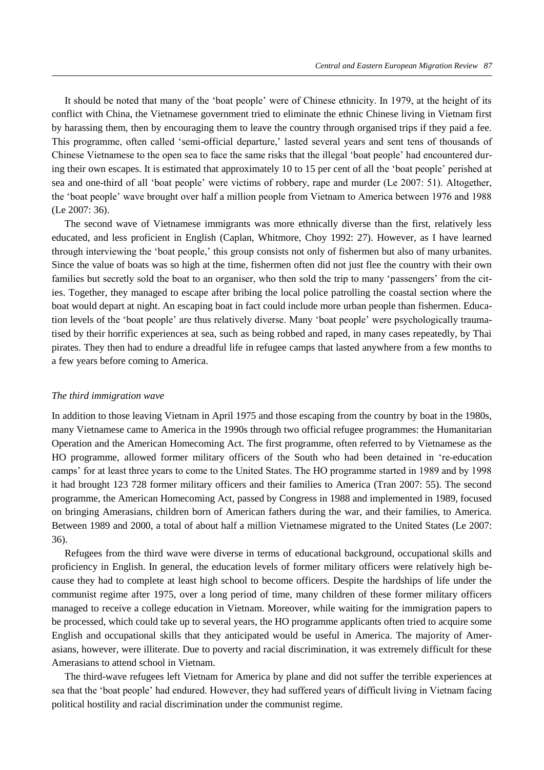It should be noted that many of the 'boat people' were of Chinese ethnicity. In 1979, at the height of its conflict with China, the Vietnamese government tried to eliminate the ethnic Chinese living in Vietnam first by harassing them, then by encouraging them to leave the country through organised trips if they paid a fee. his programme, often called 'semi-official departure,' lasted several years and sent tens of thousands of Chinese Vietnamese to the open sea to face the same risks that the illegal 'boat people' had encountered during their own escapes. It is estimated that approximately 10 to 15 per cent of all the 'boat people' perished at sea and one-third of all 'boat people' were victims of robbery, rape and murder (Le 2007: 51). Altogether, the 'boat people' wave brought over half a million people from Vietnam to America between 1976 and 1988 (Le 2007: 36).

The second wave of Vietnamese immigrants was more ethnically diverse than the first, relatively less educated, and less proficient in English (Caplan, Whitmore, Choy 1992: 27). However, as I have learned through interviewing the 'boat people,' this group consists not only of fishermen but also of many urbanites. Since the value of boats was so high at the time, fishermen often did not just flee the country with their own families but secretly sold the boat to an organiser, who then sold the trip to many 'passengers' from the cities. Together, they managed to escape after bribing the local police patrolling the coastal section where the boat would depart at night. An escaping boat in fact could include more urban people than fishermen. Education levels of the 'boat people' are thus relatively diverse. Many 'boat people' were psychologically traumatised by their horrific experiences at sea, such as being robbed and raped, in many cases repeatedly, by Thai pirates. They then had to endure a dreadful life in refugee camps that lasted anywhere from a few months to a few years before coming to America.

#### *The third immigration wave*

In addition to those leaving Vietnam in April 1975 and those escaping from the country by boat in the 1980s, many Vietnamese came to America in the 1990s through two official refugee programmes: the Humanitarian Operation and the American Homecoming Act. The first programme, often referred to by Vietnamese as the HO programme, allowed former military officers of the South who had been detained in 're-education camps' for at least three years to come to the United States. The HO programme started in 1989 and by 1998 it had brought 123 728 former military officers and their families to America (Tran 2007: 55). The second programme, the American Homecoming Act, passed by Congress in 1988 and implemented in 1989, focused on bringing Amerasians, children born of American fathers during the war, and their families, to America. Between 1989 and 2000, a total of about half a million Vietnamese migrated to the United States (Le 2007: 36).

Refugees from the third wave were diverse in terms of educational background, occupational skills and proficiency in English. In general, the education levels of former military officers were relatively high because they had to complete at least high school to become officers. Despite the hardships of life under the communist regime after 1975, over a long period of time, many children of these former military officers managed to receive a college education in Vietnam. Moreover, while waiting for the immigration papers to be processed, which could take up to several years, the HO programme applicants often tried to acquire some English and occupational skills that they anticipated would be useful in America. The majority of Amerasians, however, were illiterate. Due to poverty and racial discrimination, it was extremely difficult for these Amerasians to attend school in Vietnam.

The third-wave refugees left Vietnam for America by plane and did not suffer the terrible experiences at sea that the 'boat people' had endured. However, they had suffered years of difficult living in Vietnam facing political hostility and racial discrimination under the communist regime.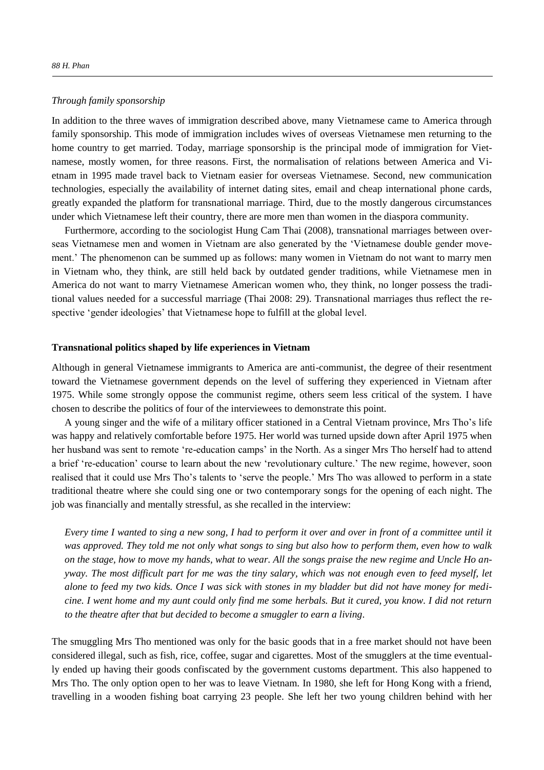## *Through family sponsorship*

In addition to the three waves of immigration described above, many Vietnamese came to America through family sponsorship. This mode of immigration includes wives of overseas Vietnamese men returning to the home country to get married. Today, marriage sponsorship is the principal mode of immigration for Vietnamese, mostly women, for three reasons. First, the normalisation of relations between America and Vietnam in 1995 made travel back to Vietnam easier for overseas Vietnamese. Second, new communication technologies, especially the availability of internet dating sites, email and cheap international phone cards, greatly expanded the platform for transnational marriage. Third, due to the mostly dangerous circumstances under which Vietnamese left their country, there are more men than women in the diaspora community.

Furthermore, according to the sociologist Hung Cam Thai (2008), transnational marriages between overseas Vietnamese men and women in Vietnam are also generated by the 'Vietnamese double gender movement.' The phenomenon can be summed up as follows: many women in Vietnam do not want to marry men in Vietnam who, they think, are still held back by outdated gender traditions, while Vietnamese men in America do not want to marry Vietnamese American women who, they think, no longer possess the traditional values needed for a successful marriage (Thai 2008: 29). Transnational marriages thus reflect the respective 'gender ideologies' that Vietnamese hope to fulfill at the global level.

#### **Transnational politics shaped by life experiences in Vietnam**

Although in general Vietnamese immigrants to America are anti-communist, the degree of their resentment toward the Vietnamese government depends on the level of suffering they experienced in Vietnam after 1975. While some strongly oppose the communist regime, others seem less critical of the system. I have chosen to describe the politics of four of the interviewees to demonstrate this point.

A young singer and the wife of a military officer stationed in a Central Vietnam province, Mrs Tho's life was happy and relatively comfortable before 1975. Her world was turned upside down after April 1975 when her husband was sent to remote 're-education camps' in the North. As a singer Mrs Tho herself had to attend a brief 're-education' course to learn about the new 'revolutionary culture.' The new regime, however, soon realised that it could use Mrs Tho's talents to 'serve the people.' Mrs Tho was allowed to perform in a state traditional theatre where she could sing one or two contemporary songs for the opening of each night. The job was financially and mentally stressful, as she recalled in the interview:

*Every time I wanted to sing a new song, I had to perform it over and over in front of a committee until it was approved. They told me not only what songs to sing but also how to perform them, even how to walk on the stage, how to move my hands, what to wear. All the songs praise the new regime and Uncle Ho anyway. The most difficult part for me was the tiny salary, which was not enough even to feed myself, let alone to feed my two kids. Once I was sick with stones in my bladder but did not have money for medicine. I went home and my aunt could only find me some herbals. But it cured, you know. I did not return to the theatre after that but decided to become a smuggler to earn a living*.

The smuggling Mrs Tho mentioned was only for the basic goods that in a free market should not have been considered illegal, such as fish, rice, coffee, sugar and cigarettes. Most of the smugglers at the time eventually ended up having their goods confiscated by the government customs department. This also happened to Mrs Tho. The only option open to her was to leave Vietnam. In 1980, she left for Hong Kong with a friend, travelling in a wooden fishing boat carrying 23 people. She left her two young children behind with her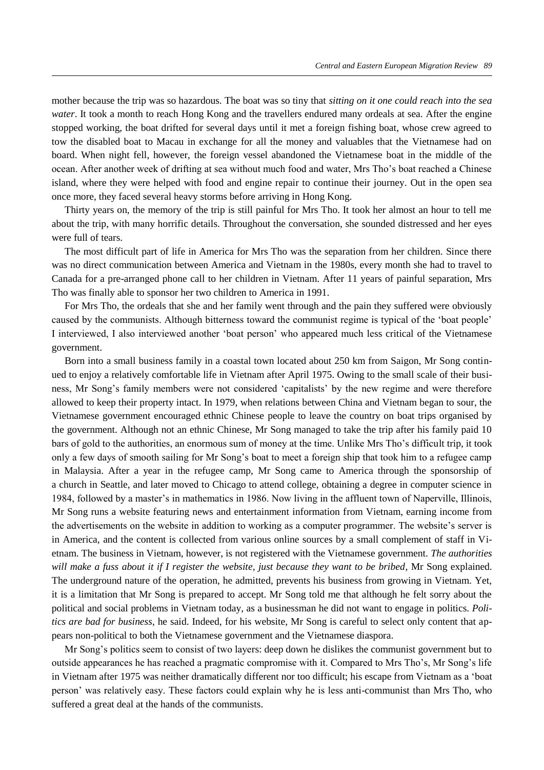mother because the trip was so hazardous. The boat was so tiny that *sitting on it one could reach into the sea water*. It took a month to reach Hong Kong and the travellers endured many ordeals at sea. After the engine stopped working, the boat drifted for several days until it met a foreign fishing boat, whose crew agreed to tow the disabled boat to Macau in exchange for all the money and valuables that the Vietnamese had on board. When night fell, however, the foreign vessel abandoned the Vietnamese boat in the middle of the ocean. After another week of drifting at sea without much food and water. Mrs Tho's boat reached a Chinese island, where they were helped with food and engine repair to continue their journey. Out in the open sea once more, they faced several heavy storms before arriving in Hong Kong.

Thirty years on, the memory of the trip is still painful for Mrs Tho. It took her almost an hour to tell me about the trip, with many horrific details. Throughout the conversation, she sounded distressed and her eyes were full of tears.

The most difficult part of life in America for Mrs Tho was the separation from her children. Since there was no direct communication between America and Vietnam in the 1980s, every month she had to travel to Canada for a pre-arranged phone call to her children in Vietnam. After 11 years of painful separation, Mrs Tho was finally able to sponsor her two children to America in 1991.

For Mrs Tho, the ordeals that she and her family went through and the pain they suffered were obviously caused by the communists. Although bitterness toward the communist regime is typical of the 'boat people' I interviewed, I also interviewed another 'boat person' who appeared much less critical of the Vietnamese government.

Born into a small business family in a coastal town located about 250 km from Saigon, Mr Song continued to enjoy a relatively comfortable life in Vietnam after April 1975. Owing to the small scale of their business, Mr Song's family members were not considered 'capitalists' by the new regime and were therefore allowed to keep their property intact. In 1979, when relations between China and Vietnam began to sour, the Vietnamese government encouraged ethnic Chinese people to leave the country on boat trips organised by the government. Although not an ethnic Chinese, Mr Song managed to take the trip after his family paid 10 bars of gold to the authorities, an enormous sum of money at the time. Unlike Mrs Tho's difficult trip, it took only a few days of smooth sailing for Mr Song's boat to meet a foreign ship that took him to a refugee camp in Malaysia. After a year in the refugee camp, Mr Song came to America through the sponsorship of a church in Seattle, and later moved to Chicago to attend college, obtaining a degree in computer science in 1984, followed by a master's in mathematics in 1986. Now living in the affluent town of Naperville, llinois, Mr Song runs a website featuring news and entertainment information from Vietnam, earning income from the advertisements on the website in addition to working as a computer programmer. he website's server is in America, and the content is collected from various online sources by a small complement of staff in Vietnam. The business in Vietnam, however, is not registered with the Vietnamese government. *The authorities will make a fuss about it if I register the website, just because they want to be bribed*, Mr Song explained. The underground nature of the operation, he admitted, prevents his business from growing in Vietnam. Yet, it is a limitation that Mr Song is prepared to accept. Mr Song told me that although he felt sorry about the political and social problems in Vietnam today, as a businessman he did not want to engage in politics. *Politics are bad for business*, he said. Indeed, for his website, Mr Song is careful to select only content that appears non-political to both the Vietnamese government and the Vietnamese diaspora.

Mr Song's politics seem to consist of two layers: deep down he dislikes the communist government but to outside appearances he has reached a pragmatic compromise with it. Compared to Mrs Tho's, Mr Song's life in Vietnam after 1975 was neither dramatically different nor too difficult; his escape from Vietnam as a 'boat person' was relatively easy. hese factors could explain why he is less anti-communist than Mrs Tho, who suffered a great deal at the hands of the communists.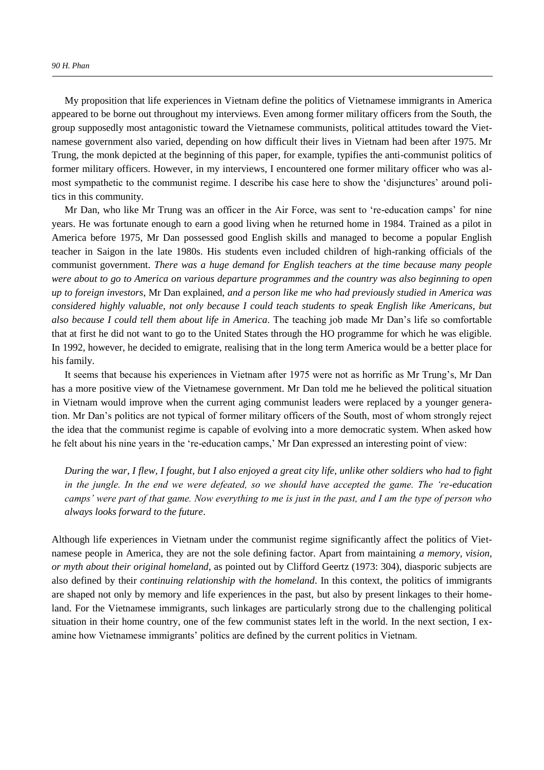My proposition that life experiences in Vietnam define the politics of Vietnamese immigrants in America appeared to be borne out throughout my interviews. Even among former military officers from the South, the group supposedly most antagonistic toward the Vietnamese communists, political attitudes toward the Vietnamese government also varied, depending on how difficult their lives in Vietnam had been after 1975. Mr Trung, the monk depicted at the beginning of this paper, for example, typifies the anti-communist politics of former military officers. However, in my interviews, I encountered one former military officer who was almost sympathetic to the communist regime. I describe his case here to show the 'disjunctures' around politics in this community.

Mr Dan, who like Mr Trung was an officer in the Air Force, was sent to 're-education camps' for nine years. He was fortunate enough to earn a good living when he returned home in 1984. Trained as a pilot in America before 1975, Mr Dan possessed good English skills and managed to become a popular English teacher in Saigon in the late 1980s. His students even included children of high-ranking officials of the communist government. *There was a huge demand for English teachers at the time because many people were about to go to America on various departure programmes and the country was also beginning to open up to foreign investors*, Mr Dan explained, *and a person like me who had previously studied in America was considered highly valuable, not only because I could teach students to speak English like Americans, but also because I could tell them about life in America*. The teaching job made Mr Dan's life so comfortable that at first he did not want to go to the United States through the HO programme for which he was eligible. In 1992, however, he decided to emigrate, realising that in the long term America would be a better place for his family.

It seems that because his experiences in Vietnam after 1975 were not as horrific as Mr Trung's, Mr Dan has a more positive view of the Vietnamese government. Mr Dan told me he believed the political situation in Vietnam would improve when the current aging communist leaders were replaced by a younger generation. Mr Dan's politics are not typical of former military officers of the South, most of whom strongly reject the idea that the communist regime is capable of evolving into a more democratic system. When asked how he felt about his nine years in the 're-education camps,' Mr Dan expressed an interesting point of view:

*During the war, I flew, I fought, but I also enjoyed a great city life, unlike other soldiers who had to fight in the jungle. In the end we were defeated, so we should have accepted the game. The 're-education camps' were part of that game. Now everything to me is just in the past, and I am the type of person who always looks forward to the future*.

Although life experiences in Vietnam under the communist regime significantly affect the politics of Vietnamese people in America, they are not the sole defining factor. Apart from maintaining *a memory, vision, or myth about their original homeland*, as pointed out by Clifford Geertz (1973: 304), diasporic subjects are also defined by their *continuing relationship with the homeland*. In this context, the politics of immigrants are shaped not only by memory and life experiences in the past, but also by present linkages to their homeland. For the Vietnamese immigrants, such linkages are particularly strong due to the challenging political situation in their home country, one of the few communist states left in the world. In the next section, I examine how Vietnamese immigrants' politics are defined by the current politics in Vietnam.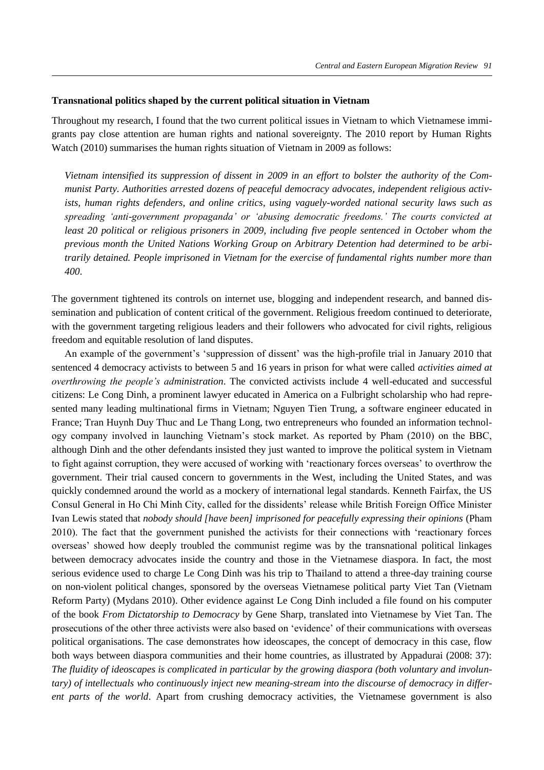#### **Transnational politics shaped by the current political situation in Vietnam**

Throughout my research, I found that the two current political issues in Vietnam to which Vietnamese immigrants pay close attention are human rights and national sovereignty. The 2010 report by Human Rights Watch (2010) summarises the human rights situation of Vietnam in 2009 as follows:

*Vietnam intensified its suppression of dissent in 2009 in an effort to bolster the authority of the Communist Party. Authorities arrested dozens of peaceful democracy advocates, independent religious activists, human rights defenders, and online critics, using vaguely-worded national security laws such as spreading 'anti-government propaganda' or 'abusing democratic freedoms.' The courts convicted at least 20 political or religious prisoners in 2009, including five people sentenced in October whom the previous month the United Nations Working Group on Arbitrary Detention had determined to be arbitrarily detained. People imprisoned in Vietnam for the exercise of fundamental rights number more than 400*.

The government tightened its controls on internet use, blogging and independent research, and banned dissemination and publication of content critical of the government. Religious freedom continued to deteriorate, with the government targeting religious leaders and their followers who advocated for civil rights, religious freedom and equitable resolution of land disputes.

An example of the government's 'suppression of dissent' was the high-profile trial in January 2010 that sentenced 4 democracy activists to between 5 and 16 years in prison for what were called *activities aimed at overthrowing the people's administration*. The convicted activists include 4 well-educated and successful citizens: Le Cong Dinh, a prominent lawyer educated in America on a Fulbright scholarship who had represented many leading multinational firms in Vietnam; Nguyen Tien Trung, a software engineer educated in France; Tran Huynh Duy Thuc and Le Thang Long, two entrepreneurs who founded an information technology company involved in launching Vietnam's stock market. As reported by Pham (2010) on the BBC, although Dinh and the other defendants insisted they just wanted to improve the political system in Vietnam to fight against corruption, they were accused of working with 'reactionary forces overseas' to overthrow the government. Their trial caused concern to governments in the West, including the United States, and was quickly condemned around the world as a mockery of international legal standards. Kenneth Fairfax, the US Consul General in Ho Chi Minh City, called for the dissidents' release while British Foreign Office Minister Ivan Lewis stated that *nobody should [have been] imprisoned for peacefully expressing their opinions* (Pham 2010). The fact that the government punished the activists for their connections with 'reactionary forces overseas' showed how deeply troubled the communist regime was by the transnational political linkages between democracy advocates inside the country and those in the Vietnamese diaspora. In fact, the most serious evidence used to charge Le Cong Dinh was his trip to Thailand to attend a three-day training course on non-violent political changes, sponsored by the overseas Vietnamese political party Viet Tan (Vietnam Reform Party) (Mydans 2010). Other evidence against Le Cong Dinh included a file found on his computer of the book *From Dictatorship to Democracy* by Gene Sharp, translated into Vietnamese by Viet Tan. The prosecutions of the other three activists were also based on 'evidence' of their communications with overseas political organisations. The case demonstrates how ideoscapes, the concept of democracy in this case, flow both ways between diaspora communities and their home countries, as illustrated by Appadurai (2008: 37): *The fluidity of ideoscapes is complicated in particular by the growing diaspora (both voluntary and involuntary) of intellectuals who continuously inject new meaning-stream into the discourse of democracy in different parts of the world*. Apart from crushing democracy activities, the Vietnamese government is also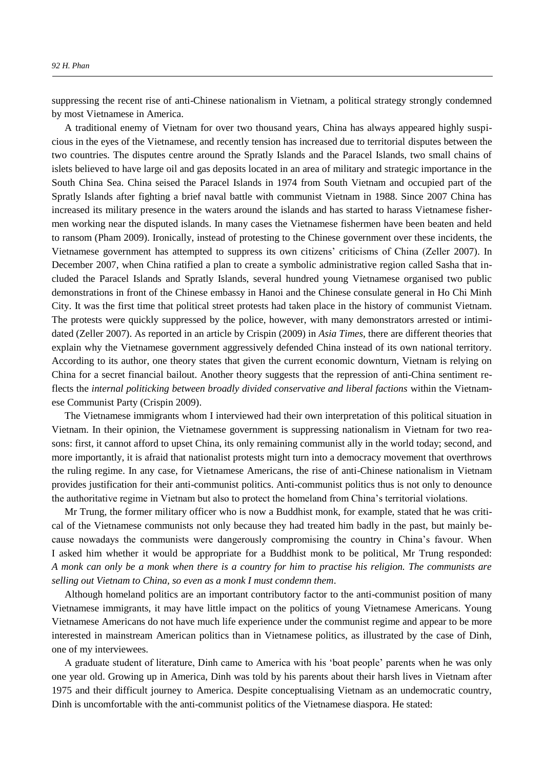suppressing the recent rise of anti-Chinese nationalism in Vietnam, a political strategy strongly condemned by most Vietnamese in America.

A traditional enemy of Vietnam for over two thousand years, China has always appeared highly suspicious in the eyes of the Vietnamese, and recently tension has increased due to territorial disputes between the two countries. The disputes centre around the Spratly Islands and the Paracel Islands, two small chains of islets believed to have large oil and gas deposits located in an area of military and strategic importance in the South China Sea. China seised the Paracel Islands in 1974 from South Vietnam and occupied part of the Spratly Islands after fighting a brief naval battle with communist Vietnam in 1988. Since 2007 China has increased its military presence in the waters around the islands and has started to harass Vietnamese fishermen working near the disputed islands. In many cases the Vietnamese fishermen have been beaten and held to ransom (Pham 2009). Ironically, instead of protesting to the Chinese government over these incidents, the Vietnamese government has attempted to suppress its own citizens' criticisms of China (Zeller 2007). In December 2007, when China ratified a plan to create a symbolic administrative region called Sasha that included the Paracel Islands and Spratly Islands, several hundred young Vietnamese organised two public demonstrations in front of the Chinese embassy in Hanoi and the Chinese consulate general in Ho Chi Minh City. It was the first time that political street protests had taken place in the history of communist Vietnam. The protests were quickly suppressed by the police, however, with many demonstrators arrested or intimidated (Zeller 2007). As reported in an article by Crispin (2009) in *Asia Times*, there are different theories that explain why the Vietnamese government aggressively defended China instead of its own national territory. According to its author, one theory states that given the current economic downturn, Vietnam is relying on China for a secret financial bailout. Another theory suggests that the repression of anti-China sentiment reflects the *internal politicking between broadly divided conservative and liberal factions* within the Vietnamese Communist Party (Crispin 2009).

The Vietnamese immigrants whom I interviewed had their own interpretation of this political situation in Vietnam. In their opinion, the Vietnamese government is suppressing nationalism in Vietnam for two reasons: first, it cannot afford to upset China, its only remaining communist ally in the world today; second, and more importantly, it is afraid that nationalist protests might turn into a democracy movement that overthrows the ruling regime. In any case, for Vietnamese Americans, the rise of anti-Chinese nationalism in Vietnam provides justification for their anti-communist politics. Anti-communist politics thus is not only to denounce the authoritative regime in Vietnam but also to protect the homeland from China's territorial violations.

Mr Trung, the former military officer who is now a Buddhist monk, for example, stated that he was critical of the Vietnamese communists not only because they had treated him badly in the past, but mainly because nowadays the communists were dangerously compromising the country in China's favour. When I asked him whether it would be appropriate for a Buddhist monk to be political, Mr Trung responded: *A monk can only be a monk when there is a country for him to practise his religion. The communists are selling out Vietnam to China, so even as a monk I must condemn them*.

Although homeland politics are an important contributory factor to the anti-communist position of many Vietnamese immigrants, it may have little impact on the politics of young Vietnamese Americans. Young Vietnamese Americans do not have much life experience under the communist regime and appear to be more interested in mainstream American politics than in Vietnamese politics, as illustrated by the case of Dinh, one of my interviewees.

A graduate student of literature, Dinh came to America with his 'boat people' parents when he was only one year old. Growing up in America, Dinh was told by his parents about their harsh lives in Vietnam after 1975 and their difficult journey to America. Despite conceptualising Vietnam as an undemocratic country, Dinh is uncomfortable with the anti-communist politics of the Vietnamese diaspora. He stated: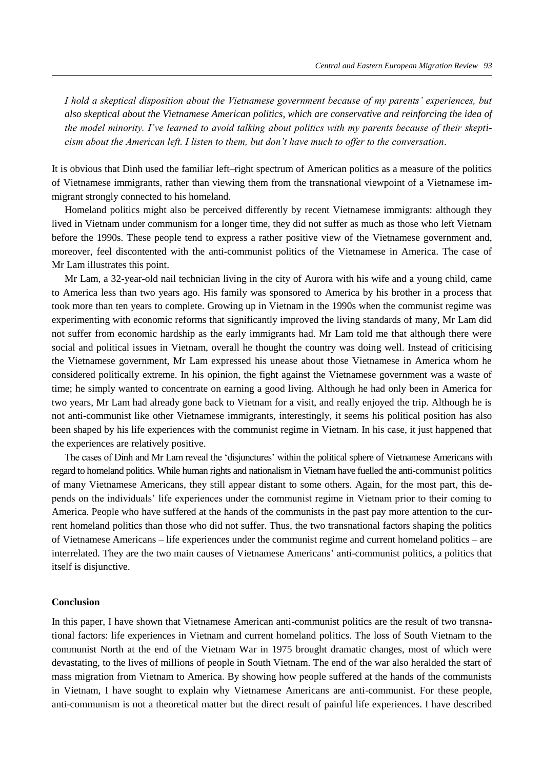*I hold a skeptical disposition about the Vietnamese government because of my parents' experiences, but also skeptical about the Vietnamese American politics, which are conservative and reinforcing the idea of the model minority. I've learned to avoid talking about politics with my parents because of their skepticism about the American left. I listen to them, but don't have much to offer to the conversation*.

It is obvious that Dinh used the familiar left–right spectrum of American politics as a measure of the politics of Vietnamese immigrants, rather than viewing them from the transnational viewpoint of a Vietnamese immigrant strongly connected to his homeland.

Homeland politics might also be perceived differently by recent Vietnamese immigrants: although they lived in Vietnam under communism for a longer time, they did not suffer as much as those who left Vietnam before the 1990s. These people tend to express a rather positive view of the Vietnamese government and, moreover, feel discontented with the anti-communist politics of the Vietnamese in America. The case of Mr Lam illustrates this point.

Mr Lam, a 32-year-old nail technician living in the city of Aurora with his wife and a young child, came to America less than two years ago. His family was sponsored to America by his brother in a process that took more than ten years to complete. Growing up in Vietnam in the 1990s when the communist regime was experimenting with economic reforms that significantly improved the living standards of many, Mr Lam did not suffer from economic hardship as the early immigrants had. Mr Lam told me that although there were social and political issues in Vietnam, overall he thought the country was doing well. Instead of criticising the Vietnamese government, Mr Lam expressed his unease about those Vietnamese in America whom he considered politically extreme. In his opinion, the fight against the Vietnamese government was a waste of time; he simply wanted to concentrate on earning a good living. Although he had only been in America for two years, Mr Lam had already gone back to Vietnam for a visit, and really enjoyed the trip. Although he is not anti-communist like other Vietnamese immigrants, interestingly, it seems his political position has also been shaped by his life experiences with the communist regime in Vietnam. In his case, it just happened that the experiences are relatively positive.

 he cases of Dinh and Mr Lam reveal the 'disjunctures' within the political sphere of Vietnamese Americans with regard to homeland politics. While human rights and nationalism in Vietnam have fuelled the anti-communist politics of many Vietnamese Americans, they still appear distant to some others. Again, for the most part, this depends on the individuals' life experiences under the communist regime in Vietnam prior to their coming to America. People who have suffered at the hands of the communists in the past pay more attention to the current homeland politics than those who did not suffer. Thus, the two transnational factors shaping the politics of Vietnamese Americans – life experiences under the communist regime and current homeland politics – are interrelated. They are the two main causes of Vietnamese Americans' anti-communist politics, a politics that itself is disjunctive.

## **Conclusion**

In this paper, I have shown that Vietnamese American anti-communist politics are the result of two transnational factors: life experiences in Vietnam and current homeland politics. The loss of South Vietnam to the communist North at the end of the Vietnam War in 1975 brought dramatic changes, most of which were devastating, to the lives of millions of people in South Vietnam. The end of the war also heralded the start of mass migration from Vietnam to America. By showing how people suffered at the hands of the communists in Vietnam, I have sought to explain why Vietnamese Americans are anti-communist. For these people, anti-communism is not a theoretical matter but the direct result of painful life experiences. I have described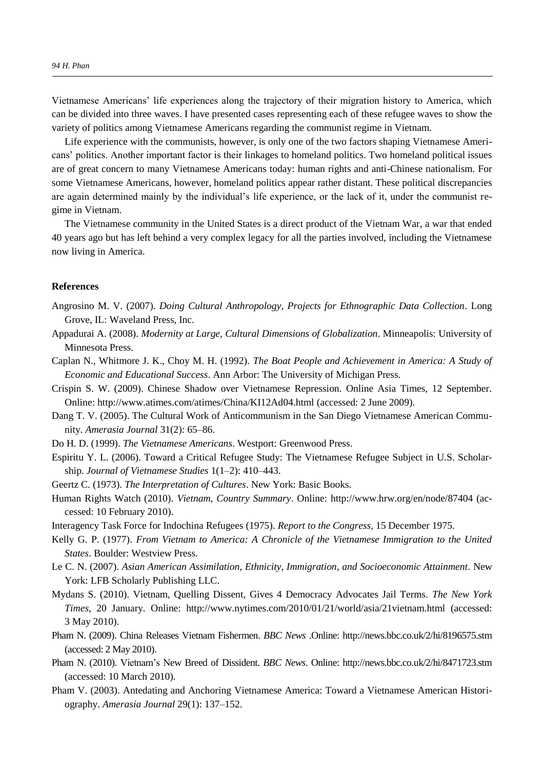Vietnamese Americans' life experiences along the trajectory of their migration history to America, which can be divided into three waves. I have presented cases representing each of these refugee waves to show the variety of politics among Vietnamese Americans regarding the communist regime in Vietnam.

Life experience with the communists, however, is only one of the two factors shaping Vietnamese Americans' politics. Another important factor is their linkages to homeland politics. Two homeland political issues are of great concern to many Vietnamese Americans today: human rights and anti-Chinese nationalism. For some Vietnamese Americans, however, homeland politics appear rather distant. These political discrepancies are again determined mainly by the individual's life experience, or the lack of it, under the communist regime in Vietnam.

The Vietnamese community in the United States is a direct product of the Vietnam War, a war that ended 40 years ago but has left behind a very complex legacy for all the parties involved, including the Vietnamese now living in America.

### **References**

- Angrosino M. V. (2007). *Doing Cultural Anthropology, Projects for Ethnographic Data Collection*. Long Grove, IL: Waveland Press, Inc.
- Appadurai A. (2008). *Modernity at Large, Cultural Dimensions of Globalization*. Minneapolis: University of Minnesota Press.
- Caplan N., Whitmore J. K., Choy M. H. (1992). *The Boat People and Achievement in America: A Study of Economic and Educational Success*. Ann Arbor: The University of Michigan Press.
- Crispin S. W. (2009). Chinese Shadow over Vietnamese Repression. Online Asia Times, 12 September. Online: http://www.atimes.com/atimes/China/KI12Ad04.html (accessed: 2 June 2009).
- Dang T. V. (2005). The Cultural Work of Anticommunism in the San Diego Vietnamese American Community. *Amerasia Journal* 31(2): 65–86.
- Do H. D. (1999). *The Vietnamese Americans*. Westport: Greenwood Press.
- Espiritu Y. L. (2006). Toward a Critical Refugee Study: The Vietnamese Refugee Subject in U.S. Scholarship. *Journal of Vietnamese Studies* 1(1–2): 410–443.
- Geertz C. (1973). *The Interpretation of Cultures*. New York: Basic Books.
- Human Rights Watch (2010). *Vietnam, Country Summary*. Online: http://www.hrw.org/en/node/87404 (accessed: 10 February 2010).
- Interagency Task Force for Indochina Refugees (1975). *Report to the Congress*, 15 December 1975.
- Kelly G. P. (1977). *From Vietnam to America: A Chronicle of the Vietnamese Immigration to the United States*. Boulder: Westview Press.
- Le C. N. (2007). *Asian American Assimilation, Ethnicity, Immigration, and Socioeconomic Attainment*. New York: LFB Scholarly Publishing LLC.
- Mydans S. (2010). Vietnam, Quelling Dissent, Gives 4 Democracy Advocates Jail Terms. *The New York Times*, 20 January*.* Online: http://www.nytimes.com/2010/01/21/world/asia/21vietnam.html (accessed: 3 May 2010).
- Pham N. (2009). China Releases Vietnam Fishermen. *BBC News* .Online: http://news.bbc.co.uk/2/hi/8196575.stm (accessed: 2 May 2010).
- Pham N. (2010). Vietnam's New Breed of Dissident. *BBC News*. Online: http://news.bbc.co.uk/2/hi/8471723.stm (accessed: 10 March 2010).
- Pham V. (2003). Antedating and Anchoring Vietnamese America: Toward a Vietnamese American Historiography. *Amerasia Journal* 29(1): 137–152.